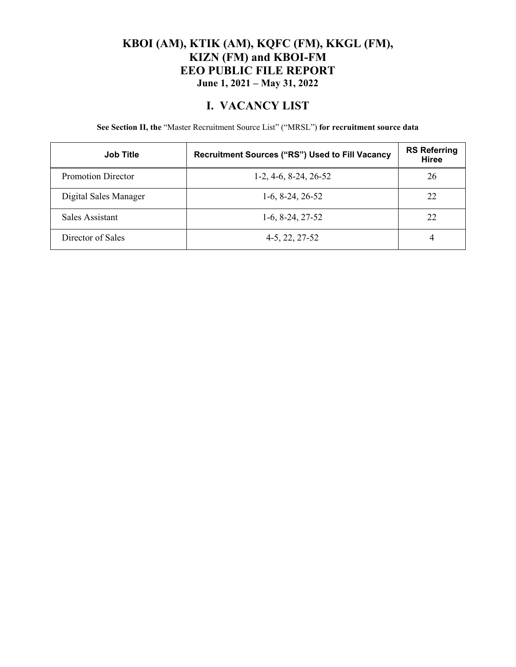### **KBOI (AM), KTIK (AM), KQFC (FM), KKGL (FM), KIZN (FM) and KBOI-FM EEO PUBLIC FILE REPORT June 1, 2021 – May 31, 2022**

### **I. VACANCY LIST**

**See Section II, the** "Master Recruitment Source List" ("MRSL") **for recruitment source data** 

| <b>Job Title</b>      | Recruitment Sources ("RS") Used to Fill Vacancy | <b>RS Referring</b><br><b>Hiree</b> |
|-----------------------|-------------------------------------------------|-------------------------------------|
| Promotion Director    | $1-2, 4-6, 8-24, 26-52$                         | 26                                  |
| Digital Sales Manager | $1-6, 8-24, 26-52$                              | 22                                  |
| Sales Assistant       | $1-6, 8-24, 27-52$                              | 22                                  |
| Director of Sales     | 4-5, 22, 27-52                                  | 4                                   |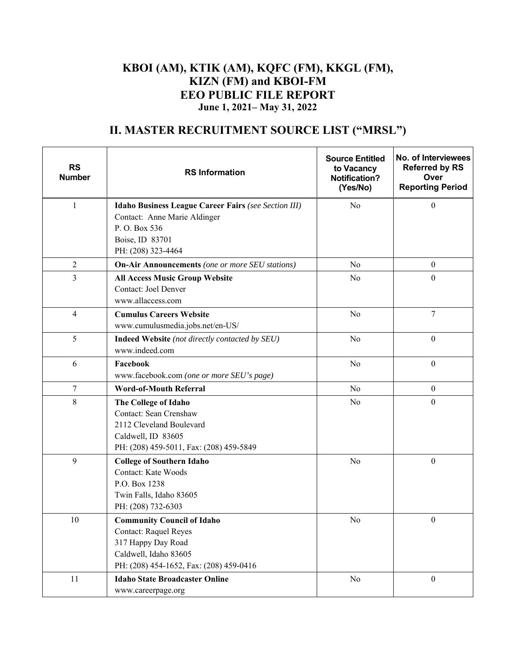### **KBOI (AM), KTIK (AM), KQFC (FM), KKGL (FM), KIZN (FM) and KBOI-FM EEO PUBLIC FILE REPORT June 1, 2021– May 31, 2022**

# **II. MASTER RECRUITMENT SOURCE LIST ("MRSL")**

| <b>RS</b><br><b>Number</b> | <b>RS Information</b>                                                                                                                                       | <b>Source Entitled</b><br>to Vacancy<br><b>Notification?</b><br>(Yes/No) | No. of Interviewees<br><b>Referred by RS</b><br>Over<br><b>Reporting Period</b> |
|----------------------------|-------------------------------------------------------------------------------------------------------------------------------------------------------------|--------------------------------------------------------------------------|---------------------------------------------------------------------------------|
| $\mathbf{1}$               | Idaho Business League Career Fairs (see Section III)<br>Contact: Anne Marie Aldinger<br>P.O. Box 536<br>Boise, ID 83701<br>PH: (208) 323-4464               | No                                                                       | $\mathbf{0}$                                                                    |
| $\overline{2}$             | <b>On-Air Announcements</b> (one or more SEU stations)                                                                                                      | No                                                                       | $\boldsymbol{0}$                                                                |
| 3                          | <b>All Access Music Group Website</b><br>Contact: Joel Denver<br>www.allaccess.com                                                                          | No                                                                       | $\boldsymbol{0}$                                                                |
| $\overline{4}$             | <b>Cumulus Careers Website</b><br>www.cumulusmedia.jobs.net/en-US/                                                                                          | N <sub>o</sub>                                                           | $\overline{7}$                                                                  |
| 5                          | <b>Indeed Website</b> (not directly contacted by SEU)<br>www.indeed.com                                                                                     | No                                                                       | $\boldsymbol{0}$                                                                |
| 6                          | Facebook<br>www.facebook.com (one or more SEU's page)                                                                                                       | No                                                                       | $\mathbf{0}$                                                                    |
| 7                          | <b>Word-of-Mouth Referral</b>                                                                                                                               | No                                                                       | $\boldsymbol{0}$                                                                |
| 8                          | The College of Idaho<br>Contact: Sean Crenshaw<br>2112 Cleveland Boulevard<br>Caldwell, ID 83605<br>PH: (208) 459-5011, Fax: (208) 459-5849                 | No                                                                       | $\boldsymbol{0}$                                                                |
| 9                          | <b>College of Southern Idaho</b><br><b>Contact: Kate Woods</b><br>P.O. Box 1238<br>Twin Falls, Idaho 83605<br>PH: (208) 732-6303                            | No                                                                       | $\boldsymbol{0}$                                                                |
| 10                         | <b>Community Council of Idaho</b><br><b>Contact: Raquel Reyes</b><br>317 Happy Day Road<br>Caldwell, Idaho 83605<br>PH: (208) 454-1652, Fax: (208) 459-0416 | No                                                                       | $\boldsymbol{0}$                                                                |
| 11                         | <b>Idaho State Broadcaster Online</b><br>www.careerpage.org                                                                                                 | No                                                                       | $\boldsymbol{0}$                                                                |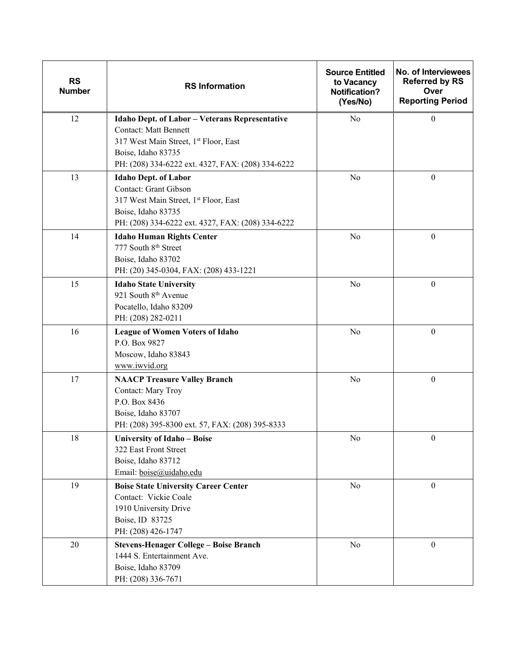| <b>RS</b><br><b>Number</b> | <b>RS Information</b>                                                                                                                                                                              | <b>Source Entitled</b><br>to Vacancy<br><b>Notification?</b><br>(Yes/No) | No. of Interviewees<br><b>Referred by RS</b><br>Over<br><b>Reporting Period</b> |
|----------------------------|----------------------------------------------------------------------------------------------------------------------------------------------------------------------------------------------------|--------------------------------------------------------------------------|---------------------------------------------------------------------------------|
| 12                         | Idaho Dept. of Labor - Veterans Representative<br><b>Contact: Matt Bennett</b><br>317 West Main Street, 1st Floor, East<br>Boise, Idaho 83735<br>PH: (208) 334-6222 ext. 4327, FAX: (208) 334-6222 | No                                                                       | $\theta$                                                                        |
| 13                         | <b>Idaho Dept. of Labor</b><br>Contact: Grant Gibson<br>317 West Main Street, 1st Floor, East<br>Boise, Idaho 83735<br>PH: (208) 334-6222 ext. 4327, FAX: (208) 334-6222                           | No                                                                       | $\boldsymbol{0}$                                                                |
| 14                         | <b>Idaho Human Rights Center</b><br>777 South 8th Street<br>Boise, Idaho 83702<br>PH: (20) 345-0304, FAX: (208) 433-1221                                                                           | No                                                                       | $\boldsymbol{0}$                                                                |
| 15                         | <b>Idaho State University</b><br>921 South 8 <sup>th</sup> Avenue<br>Pocatello, Idaho 83209<br>PH: (208) 282-0211                                                                                  | No                                                                       | $\boldsymbol{0}$                                                                |
| 16                         | <b>League of Women Voters of Idaho</b><br>P.O. Box 9827<br>Moscow, Idaho 83843<br>www.iwvid.org                                                                                                    | No                                                                       | $\boldsymbol{0}$                                                                |
| 17                         | <b>NAACP Treasure Valley Branch</b><br>Contact: Mary Troy<br>P.O. Box 8436<br>Boise, Idaho 83707<br>PH: (208) 395-8300 ext. 57, FAX: (208) 395-8333                                                | No                                                                       | $\boldsymbol{0}$                                                                |
| 18                         | University of Idaho - Boise<br>322 East Front Street<br>Boise, Idaho 83712<br>Email: boise@uidaho.edu                                                                                              | No                                                                       | $\boldsymbol{0}$                                                                |
| 19                         | <b>Boise State University Career Center</b><br>Contact: Vickie Coale<br>1910 University Drive<br>Boise, ID 83725<br>PH: (208) 426-1747                                                             | No                                                                       | $\boldsymbol{0}$                                                                |
| $20\,$                     | <b>Stevens-Henager College - Boise Branch</b><br>1444 S. Entertainment Ave.<br>Boise, Idaho 83709<br>PH: (208) 336-7671                                                                            | No                                                                       | $\boldsymbol{0}$                                                                |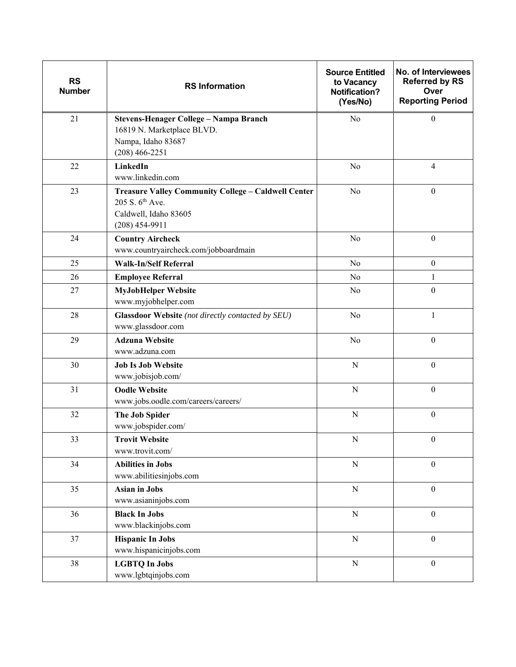| <b>RS</b><br><b>Number</b> | <b>RS Information</b>                                                                                                           | <b>Source Entitled</b><br>to Vacancy<br><b>Notification?</b><br>(Yes/No) | No. of Interviewees<br><b>Referred by RS</b><br>Over<br><b>Reporting Period</b> |
|----------------------------|---------------------------------------------------------------------------------------------------------------------------------|--------------------------------------------------------------------------|---------------------------------------------------------------------------------|
| 21                         | Stevens-Henager College - Nampa Branch<br>16819 N. Marketplace BLVD.<br>Nampa, Idaho 83687<br>$(208)$ 466-2251                  | No                                                                       | $\mathbf{0}$                                                                    |
| 22                         | LinkedIn<br>www.linkedin.com                                                                                                    | No                                                                       | $\overline{\mathbf{4}}$                                                         |
| 23                         | Treasure Valley Community College - Caldwell Center<br>205 S. 6 <sup>th</sup> Ave.<br>Caldwell, Idaho 83605<br>$(208)$ 454-9911 | $\rm No$                                                                 | $\boldsymbol{0}$                                                                |
| 24                         | <b>Country Aircheck</b><br>www.countryaircheck.com/jobboardmain                                                                 | No                                                                       | $\boldsymbol{0}$                                                                |
| 25                         | <b>Walk-In/Self Referral</b>                                                                                                    | No                                                                       | $\boldsymbol{0}$                                                                |
| 26                         | <b>Employee Referral</b>                                                                                                        | No                                                                       | 1                                                                               |
| 27                         | <b>MyJobHelper Website</b><br>www.myjobhelper.com                                                                               | No                                                                       | $\boldsymbol{0}$                                                                |
| 28                         | Glassdoor Website (not directly contacted by SEU)<br>www.glassdoor.com                                                          | No                                                                       | 1                                                                               |
| 29                         | <b>Adzuna Website</b><br>www.adzuna.com                                                                                         | No                                                                       | $\boldsymbol{0}$                                                                |
| 30                         | <b>Job Is Job Website</b><br>www.jobisjob.com/                                                                                  | $\mathbf N$                                                              | $\boldsymbol{0}$                                                                |
| 31                         | <b>Oodle Website</b><br>www.jobs.oodle.com/careers/careers/                                                                     | ${\bf N}$                                                                | $\boldsymbol{0}$                                                                |
| 32                         | The Job Spider<br>www.jobspider.com/                                                                                            | ${\bf N}$                                                                | $\boldsymbol{0}$                                                                |
| 33                         | <b>Trovit Website</b><br>www.trovit.com/                                                                                        | $N_{\rm}$                                                                | $\mathbf{0}$                                                                    |
| 34                         | <b>Abilities in Jobs</b><br>www.abilitiesinjobs.com                                                                             | ${\bf N}$                                                                | $\boldsymbol{0}$                                                                |
| 35                         | <b>Asian in Jobs</b><br>www.asianinjobs.com                                                                                     | ${\bf N}$                                                                | $\boldsymbol{0}$                                                                |
| 36                         | <b>Black In Jobs</b><br>www.blackinjobs.com                                                                                     | ${\bf N}$                                                                | $\boldsymbol{0}$                                                                |
| 37                         | <b>Hispanic In Jobs</b><br>www.hispanicinjobs.com                                                                               | ${\bf N}$                                                                | $\boldsymbol{0}$                                                                |
| 38                         | <b>LGBTQ In Jobs</b><br>www.lgbtqinjobs.com                                                                                     | ${\bf N}$                                                                | $\boldsymbol{0}$                                                                |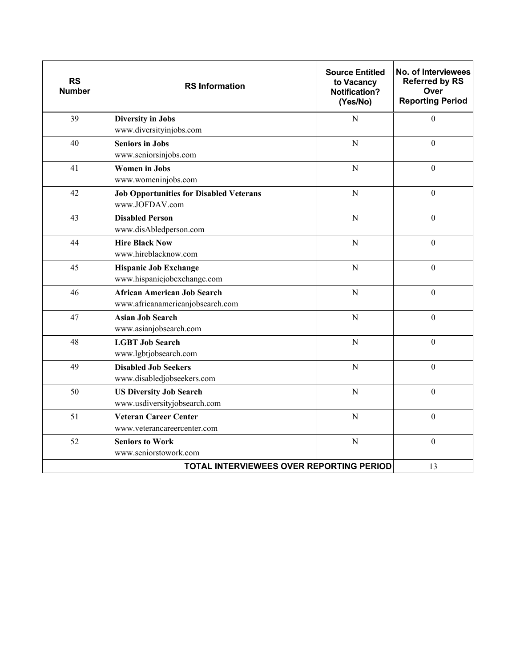| <b>RS</b><br><b>Number</b> | <b>RS Information</b>                                                  | <b>Source Entitled</b><br>to Vacancy<br><b>Notification?</b><br>(Yes/No) | No. of Interviewees<br><b>Referred by RS</b><br>Over<br><b>Reporting Period</b> |
|----------------------------|------------------------------------------------------------------------|--------------------------------------------------------------------------|---------------------------------------------------------------------------------|
| 39                         | <b>Diversity in Jobs</b><br>www.diversityinjobs.com                    | $\overline{N}$                                                           | $\boldsymbol{0}$                                                                |
| 40                         | <b>Seniors in Jobs</b><br>www.seniorsinjobs.com                        | ${\bf N}$                                                                | $\boldsymbol{0}$                                                                |
| 41                         | <b>Women</b> in Jobs<br>www.womeninjobs.com                            | $\mathbf N$                                                              | $\boldsymbol{0}$                                                                |
| 42                         | <b>Job Opportunities for Disabled Veterans</b><br>www.JOFDAV.com       | $\mathbf N$                                                              | $\boldsymbol{0}$                                                                |
| 43                         | <b>Disabled Person</b><br>www.disAbledperson.com                       | $\mathbf N$                                                              | $\boldsymbol{0}$                                                                |
| 44                         | <b>Hire Black Now</b><br>www.hireblacknow.com                          | N                                                                        | $\overline{0}$                                                                  |
| 45                         | <b>Hispanic Job Exchange</b><br>www.hispanicjobexchange.com            | $\overline{N}$                                                           | $\boldsymbol{0}$                                                                |
| 46                         | <b>African American Job Search</b><br>www.africanamericanjobsearch.com | $\overline{N}$                                                           | $\overline{0}$                                                                  |
| 47                         | <b>Asian Job Search</b><br>www.asianjobsearch.com                      | $\mathbf N$                                                              | $\boldsymbol{0}$                                                                |
| 48                         | <b>LGBT Job Search</b><br>www.lgbtjobsearch.com                        | $\overline{N}$                                                           | $\overline{0}$                                                                  |
| 49                         | <b>Disabled Job Seekers</b><br>www.disabledjobseekers.com              | ${\bf N}$                                                                | $\boldsymbol{0}$                                                                |
| 50                         | <b>US Diversity Job Search</b><br>www.usdiversityjobsearch.com         | $\overline{N}$                                                           | $\mathbf{0}$                                                                    |
| 51                         | <b>Veteran Career Center</b><br>www.veterancareercenter.com            | N                                                                        | $\boldsymbol{0}$                                                                |
| 52                         | <b>Seniors to Work</b><br>www.seniorstowork.com                        | $\overline{N}$                                                           | $\boldsymbol{0}$                                                                |
|                            | <b>TOTAL INTERVIEWEES OVER REPORTING PERIOD</b>                        |                                                                          | 13                                                                              |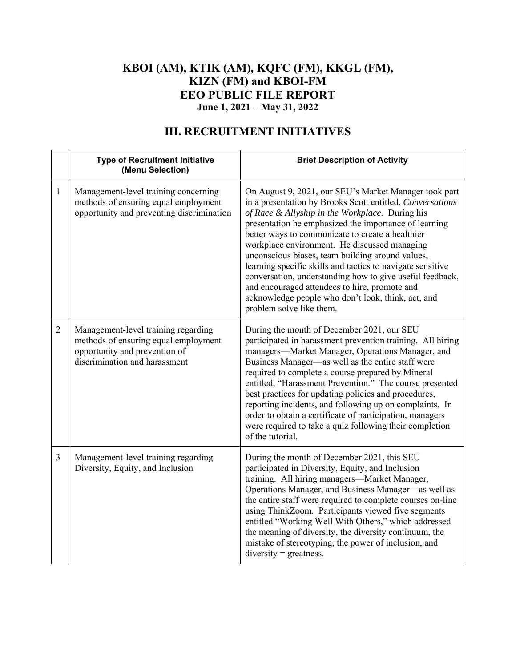### **KBOI (AM), KTIK (AM), KQFC (FM), KKGL (FM), KIZN (FM) and KBOI-FM EEO PUBLIC FILE REPORT June 1, 2021 – May 31, 2022**

|                | <b>Type of Recruitment Initiative</b><br>(Menu Selection)                                                                                     | <b>Brief Description of Activity</b>                                                                                                                                                                                                                                                                                                                                                                                                                                                                                                                                                                                                                |
|----------------|-----------------------------------------------------------------------------------------------------------------------------------------------|-----------------------------------------------------------------------------------------------------------------------------------------------------------------------------------------------------------------------------------------------------------------------------------------------------------------------------------------------------------------------------------------------------------------------------------------------------------------------------------------------------------------------------------------------------------------------------------------------------------------------------------------------------|
| 1              | Management-level training concerning<br>methods of ensuring equal employment<br>opportunity and preventing discrimination                     | On August 9, 2021, our SEU's Market Manager took part<br>in a presentation by Brooks Scott entitled, Conversations<br>of Race & Allyship in the Workplace. During his<br>presentation he emphasized the importance of learning<br>better ways to communicate to create a healthier<br>workplace environment. He discussed managing<br>unconscious biases, team building around values,<br>learning specific skills and tactics to navigate sensitive<br>conversation, understanding how to give useful feedback,<br>and encouraged attendees to hire, promote and<br>acknowledge people who don't look, think, act, and<br>problem solve like them. |
| $\overline{2}$ | Management-level training regarding<br>methods of ensuring equal employment<br>opportunity and prevention of<br>discrimination and harassment | During the month of December 2021, our SEU<br>participated in harassment prevention training. All hiring<br>managers-Market Manager, Operations Manager, and<br>Business Manager—as well as the entire staff were<br>required to complete a course prepared by Mineral<br>entitled, "Harassment Prevention." The course presented<br>best practices for updating policies and procedures,<br>reporting incidents, and following up on complaints. In<br>order to obtain a certificate of participation, managers<br>were required to take a quiz following their completion<br>of the tutorial.                                                     |
| $\overline{3}$ | Management-level training regarding<br>Diversity, Equity, and Inclusion                                                                       | During the month of December 2021, this SEU<br>participated in Diversity, Equity, and Inclusion<br>training. All hiring managers-Market Manager,<br>Operations Manager, and Business Manager-as well as<br>the entire staff were required to complete courses on-line<br>using ThinkZoom. Participants viewed five segments<br>entitled "Working Well With Others," which addressed<br>the meaning of diversity, the diversity continuum, the<br>mistake of stereotyping, the power of inclusion, and<br>$diversity = greatestness.$                                                                                                                |

## **III. RECRUITMENT INITIATIVES**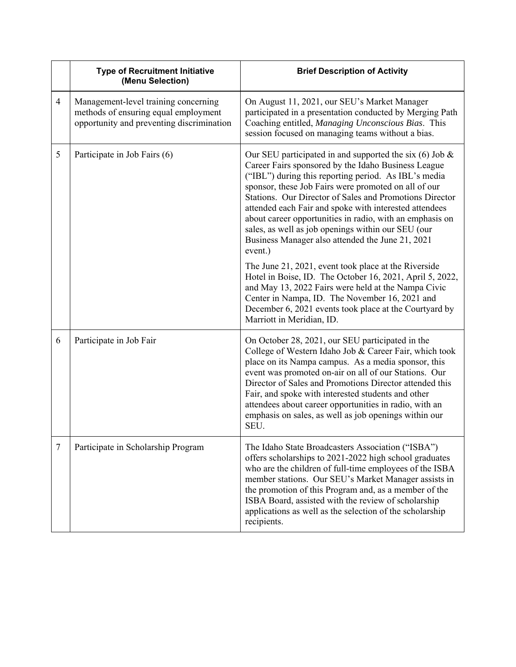|        | <b>Type of Recruitment Initiative</b><br>(Menu Selection)                                                                 | <b>Brief Description of Activity</b>                                                                                                                                                                                                                                                                                                                                                                                                                                                                                                   |
|--------|---------------------------------------------------------------------------------------------------------------------------|----------------------------------------------------------------------------------------------------------------------------------------------------------------------------------------------------------------------------------------------------------------------------------------------------------------------------------------------------------------------------------------------------------------------------------------------------------------------------------------------------------------------------------------|
| 4      | Management-level training concerning<br>methods of ensuring equal employment<br>opportunity and preventing discrimination | On August 11, 2021, our SEU's Market Manager<br>participated in a presentation conducted by Merging Path<br>Coaching entitled, Managing Unconscious Bias. This<br>session focused on managing teams without a bias.                                                                                                                                                                                                                                                                                                                    |
| 5      | Participate in Job Fairs (6)                                                                                              | Our SEU participated in and supported the six $(6)$ Job &<br>Career Fairs sponsored by the Idaho Business League<br>("IBL") during this reporting period. As IBL's media<br>sponsor, these Job Fairs were promoted on all of our<br>Stations. Our Director of Sales and Promotions Director<br>attended each Fair and spoke with interested attendees<br>about career opportunities in radio, with an emphasis on<br>sales, as well as job openings within our SEU (our<br>Business Manager also attended the June 21, 2021<br>event.) |
|        |                                                                                                                           | The June 21, 2021, event took place at the Riverside<br>Hotel in Boise, ID. The October 16, 2021, April 5, 2022,<br>and May 13, 2022 Fairs were held at the Nampa Civic<br>Center in Nampa, ID. The November 16, 2021 and<br>December 6, 2021 events took place at the Courtyard by<br>Marriott in Meridian, ID.                                                                                                                                                                                                                       |
| 6      | Participate in Job Fair                                                                                                   | On October 28, 2021, our SEU participated in the<br>College of Western Idaho Job & Career Fair, which took<br>place on its Nampa campus. As a media sponsor, this<br>event was promoted on-air on all of our Stations. Our<br>Director of Sales and Promotions Director attended this<br>Fair, and spoke with interested students and other<br>attendees about career opportunities in radio, with an<br>emphasis on sales, as well as job openings within our<br>SEU.                                                                 |
| $\tau$ | Participate in Scholarship Program                                                                                        | The Idaho State Broadcasters Association ("ISBA")<br>offers scholarships to 2021-2022 high school graduates<br>who are the children of full-time employees of the ISBA<br>member stations. Our SEU's Market Manager assists in<br>the promotion of this Program and, as a member of the<br>ISBA Board, assisted with the review of scholarship<br>applications as well as the selection of the scholarship<br>recipients.                                                                                                              |